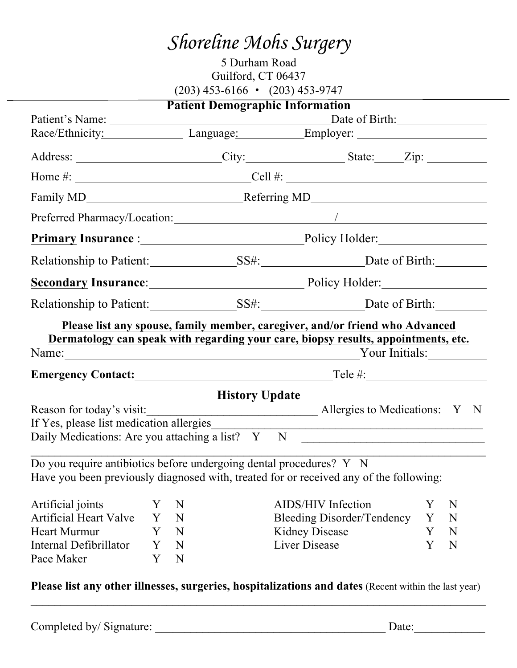## *Shoreline Mohs Surgery*

5 Durham Road Guilford, CT 06437 (203) 453-6166 · (203) 453-9747

| <b>Patient Demographic Information</b>                                             |                  |  |                                                                                        |   |   |  |
|------------------------------------------------------------------------------------|------------------|--|----------------------------------------------------------------------------------------|---|---|--|
|                                                                                    |                  |  |                                                                                        |   |   |  |
|                                                                                    |                  |  |                                                                                        |   |   |  |
|                                                                                    |                  |  | Address: City: City: State: Zip:                                                       |   |   |  |
|                                                                                    |                  |  |                                                                                        |   |   |  |
|                                                                                    |                  |  |                                                                                        |   |   |  |
|                                                                                    |                  |  | Preferred Pharmacy/Location: 1                                                         |   |   |  |
|                                                                                    |                  |  | <u>Primary Insurance: Policy Holder: Primary Insurance:</u>                            |   |   |  |
|                                                                                    |                  |  | Relationship to Patient: SS#: SS#: Date of Birth:                                      |   |   |  |
|                                                                                    |                  |  | Secondary Insurance: <u>Container and Policy Holder:</u>                               |   |   |  |
|                                                                                    |                  |  | Relationship to Patient: SS#: Date of Birth:                                           |   |   |  |
|                                                                                    |                  |  | Please list any spouse, family member, caregiver, and/or friend who Advanced           |   |   |  |
| Dermatology can speak with regarding your care, biopsy results, appointments, etc. |                  |  |                                                                                        |   |   |  |
|                                                                                    |                  |  | Name: Your Initials:                                                                   |   |   |  |
| Emergency Contact: Tele #: Tele #:                                                 |                  |  |                                                                                        |   |   |  |
| <b>History Update</b>                                                              |                  |  |                                                                                        |   |   |  |
|                                                                                    |                  |  |                                                                                        |   |   |  |
| If Yes, please list medication allergies                                           |                  |  |                                                                                        |   |   |  |
| Daily Medications: Are you attaching a list? Y N                                   |                  |  |                                                                                        |   |   |  |
| Do you require antibiotics before undergoing dental procedures? Y N                |                  |  |                                                                                        |   |   |  |
|                                                                                    |                  |  | Have you been previously diagnosed with, treated for or received any of the following: |   |   |  |
| Artificial joints                                                                  | N<br>Y           |  | <b>AIDS/HIV</b> Infection                                                              | Y | N |  |
| <b>Artificial Heart Valve</b>                                                      | Y<br>N           |  | <b>Bleeding Disorder/Tendency</b>                                                      | Y | N |  |
| <b>Heart Murmur</b>                                                                | Y<br>$\mathbf N$ |  | <b>Kidney Disease</b>                                                                  | Y | N |  |
| Internal Defibrillator                                                             | Y N              |  | <b>Liver Disease</b>                                                                   | Y | N |  |
| Pace Maker                                                                         | Y<br>N           |  |                                                                                        |   |   |  |

**Please list any other illnesses, surgeries, hospitalizations and dates** (Recent within the last year)  $\mathcal{L}_\mathcal{L} = \mathcal{L}_\mathcal{L} = \mathcal{L}_\mathcal{L} = \mathcal{L}_\mathcal{L} = \mathcal{L}_\mathcal{L} = \mathcal{L}_\mathcal{L} = \mathcal{L}_\mathcal{L} = \mathcal{L}_\mathcal{L} = \mathcal{L}_\mathcal{L} = \mathcal{L}_\mathcal{L} = \mathcal{L}_\mathcal{L} = \mathcal{L}_\mathcal{L} = \mathcal{L}_\mathcal{L} = \mathcal{L}_\mathcal{L} = \mathcal{L}_\mathcal{L} = \mathcal{L}_\mathcal{L} = \mathcal{L}_\mathcal{L}$ 

Completed by/ Signature: \_\_\_\_\_\_\_\_\_\_\_\_\_\_\_\_\_\_\_\_\_\_\_\_\_\_\_\_\_\_\_\_\_\_\_\_\_\_\_ Date:\_\_\_\_\_\_\_\_\_\_\_\_